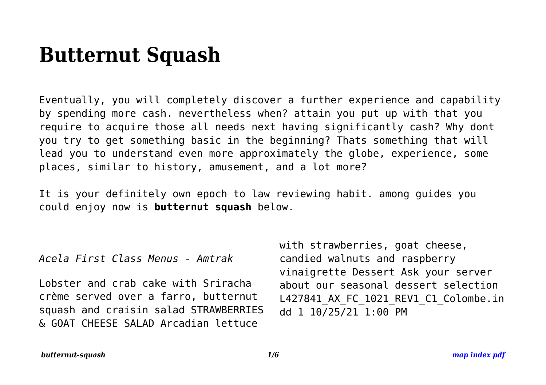# **Butternut Squash**

Eventually, you will completely discover a further experience and capability by spending more cash. nevertheless when? attain you put up with that you require to acquire those all needs next having significantly cash? Why dont you try to get something basic in the beginning? Thats something that will lead you to understand even more approximately the globe, experience, some places, similar to history, amusement, and a lot more?

It is your definitely own epoch to law reviewing habit. among guides you could enjoy now is **butternut squash** below.

*Acela First Class Menus - Amtrak*

Lobster and crab cake with Sriracha crème served over a farro, butternut squash and craisin salad STRAWBERRIES & GOAT CHEESE SALAD Arcadian lettuce

with strawberries, goat cheese, candied walnuts and raspberry vinaigrette Dessert Ask your server about our seasonal dessert selection L427841\_AX\_FC\_1021\_REV1\_C1\_Colombe.in dd 1 10/25/21 1:00 PM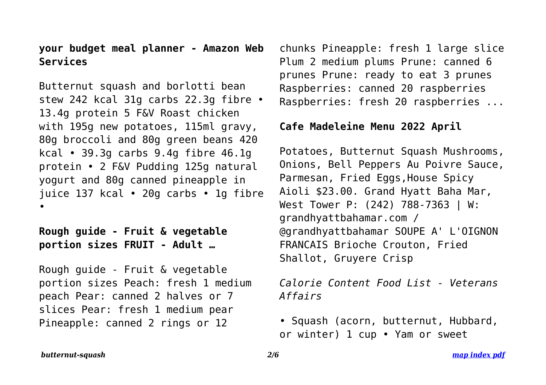## **your budget meal planner - Amazon Web Services**

Butternut squash and borlotti bean stew 242 kcal 31g carbs 22.3g fibre • 13.4g protein 5 F&V Roast chicken with 195g new potatoes, 115ml gravy, 80g broccoli and 80g green beans 420 kcal • 39.3g carbs 9.4g fibre 46.1g protein • 2 F&V Pudding 125g natural yogurt and 80g canned pineapple in juice 137 kcal • 20g carbs • 1g fibre •

## **Rough guide - Fruit & vegetable portion sizes FRUIT - Adult …**

Rough guide - Fruit & vegetable portion sizes Peach: fresh 1 medium peach Pear: canned 2 halves or 7 slices Pear: fresh 1 medium pear Pineapple: canned 2 rings or 12

chunks Pineapple: fresh 1 large slice Plum 2 medium plums Prune: canned 6 prunes Prune: ready to eat 3 prunes Raspberries: canned 20 raspberries Raspberries: fresh 20 raspberries ...

## **Cafe Madeleine Menu 2022 April**

Potatoes, Butternut Squash Mushrooms, Onions, Bell Peppers Au Poivre Sauce, Parmesan, Fried Eggs,House Spicy Aioli \$23.00. Grand Hyatt Baha Mar, West Tower P: (242) 788-7363 | W: grandhyattbahamar.com / @grandhyattbahamar SOUPE A' L'OIGNON FRANCAIS Brioche Crouton, Fried Shallot, Gruyere Crisp

*Calorie Content Food List - Veterans Affairs*

• Squash (acorn, butternut, Hubbard, or winter) 1 cup • Yam or sweet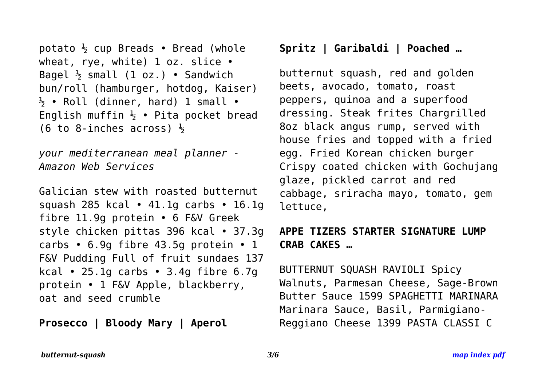```
potato \frac{1}{2} cup Breads • Bread (whole
wheat, rye, white) 1 oz. slice •
Bagel \frac{1}{2} small (1 oz.) • Sandwich
bun/roll (hamburger, hotdog, Kaiser)
\frac{1}{2} • Roll (dinner, hard) 1 small •
English muffin \frac{1}{2} • Pita pocket bread
(6 to 8-inches across) \frac{1}{2}
```
*your mediterranean meal planner - Amazon Web Services*

Galician stew with roasted butternut squash 285 kcal • 41.1g carbs • 16.1g fibre 11.9g protein • 6 F&V Greek style chicken pittas 396 kcal • 37.3g carbs  $\cdot$  6.9g fibre 43.5g protein  $\cdot$  1 F&V Pudding Full of fruit sundaes 137 kcal • 25.1g carbs • 3.4g fibre  $6.7g$ protein • 1 F&V Apple, blackberry, oat and seed crumble

**Prosecco | Bloody Mary | Aperol**

## **Spritz | Garibaldi | Poached …**

butternut squash, red and golden beets, avocado, tomato, roast peppers, quinoa and a superfood dressing. Steak frites Chargrilled 8oz black angus rump, served with house fries and topped with a fried egg. Fried Korean chicken burger Crispy coated chicken with Gochujang glaze, pickled carrot and red cabbage, sriracha mayo, tomato, gem lettuce,

# **APPE TIZERS STARTER SIGNATURE LUMP CRAB CAKES …**

BUTTERNUT SQUASH RAVIOLI Spicy Walnuts, Parmesan Cheese, Sage-Brown Butter Sauce 1599 SPAGHETTI MARINARA Marinara Sauce, Basil, Parmigiano-Reggiano Cheese 1399 PASTA CLASSI C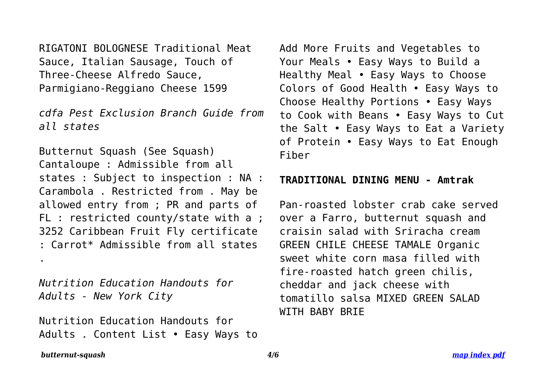RIGATONI BOLOGNESE Traditional Meat Sauce, Italian Sausage, Touch of Three-Cheese Alfredo Sauce, Parmigiano-Reggiano Cheese 1599

*cdfa Pest Exclusion Branch Guide from all states*

Butternut Squash (See Squash) Cantaloupe : Admissible from all states : Subject to inspection : NA : Carambola . Restricted from . May be allowed entry from ; PR and parts of FL : restricted county/state with a ; 3252 Caribbean Fruit Fly certificate : Carrot\* Admissible from all states

*Nutrition Education Handouts for Adults - New York City*

Nutrition Education Handouts for Adults . Content List • Easy Ways to Add More Fruits and Vegetables to Your Meals • Easy Ways to Build a Healthy Meal • Easy Ways to Choose Colors of Good Health • Easy Ways to Choose Healthy Portions • Easy Ways to Cook with Beans • Easy Ways to Cut the Salt • Easy Ways to Eat a Variety of Protein • Easy Ways to Eat Enough Fiber

### **TRADITIONAL DINING MENU - Amtrak**

Pan-roasted lobster crab cake served over a Farro, butternut squash and craisin salad with Sriracha cream GREEN CHILE CHEESE TAMALE Organic sweet white corn masa filled with fire-roasted hatch green chilis, cheddar and jack cheese with tomatillo salsa MIXED GREEN SALAD WITH BABY BRIE

#### *butternut-squash 4/6 [map index pdf](http://myspiralizedrecipes.com/sitemap-index.xml)*

.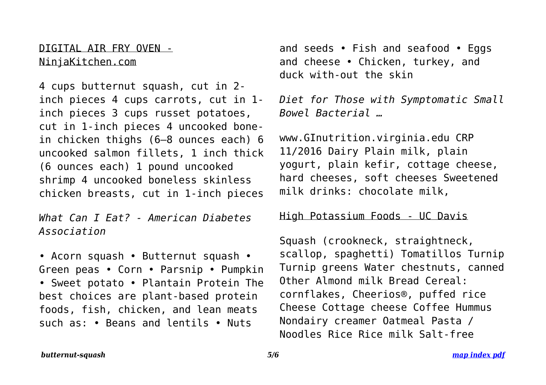DIGITAL AIR FRY OVEN - NinjaKitchen.com

4 cups butternut squash, cut in 2 inch pieces 4 cups carrots, cut in 1 inch pieces 3 cups russet potatoes, cut in 1-inch pieces 4 uncooked bonein chicken thighs (6–8 ounces each) 6 uncooked salmon fillets, 1 inch thick (6 ounces each) 1 pound uncooked shrimp 4 uncooked boneless skinless chicken breasts, cut in 1-inch pieces

*What Can I Eat? - American Diabetes Association*

• Acorn squash • Butternut squash • Green peas • Corn • Parsnip • Pumpkin • Sweet potato • Plantain Protein The best choices are plant-based protein foods, fish, chicken, and lean meats such as: • Beans and lentils • Nuts

and seeds • Fish and seafood • Eggs and cheese • Chicken, turkey, and duck with-out the skin

*Diet for Those with Symptomatic Small Bowel Bacterial …*

www.GInutrition.virginia.edu CRP 11/2016 Dairy Plain milk, plain yogurt, plain kefir, cottage cheese, hard cheeses, soft cheeses Sweetened milk drinks: chocolate milk,

## High Potassium Foods - UC Davis

Squash (crookneck, straightneck, scallop, spaghetti) Tomatillos Turnip Turnip greens Water chestnuts, canned Other Almond milk Bread Cereal: cornflakes, Cheerios®, puffed rice Cheese Cottage cheese Coffee Hummus Nondairy creamer Oatmeal Pasta / Noodles Rice Rice milk Salt-free